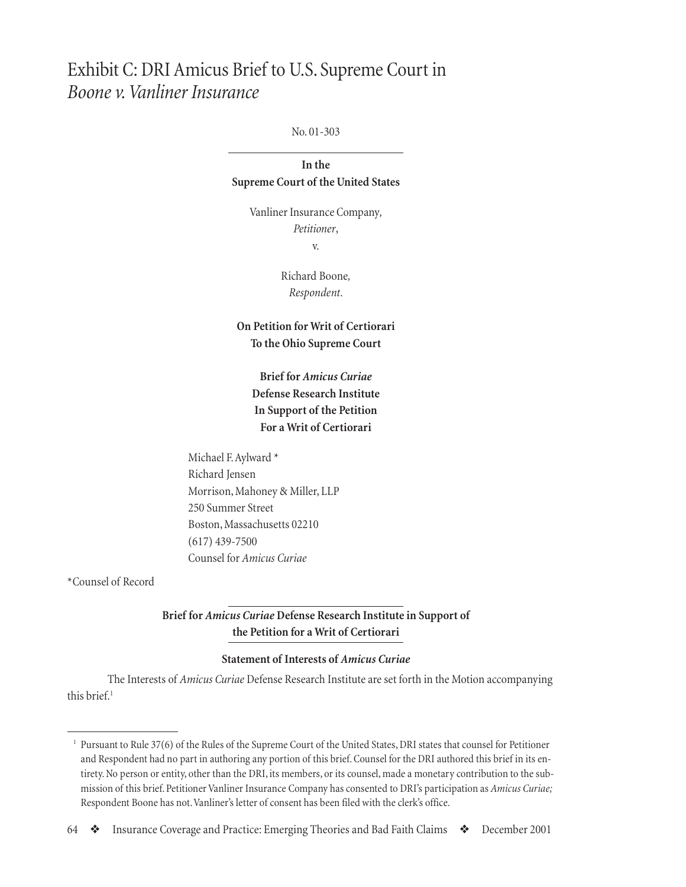# Exhibit C: DRI Amicus Brief to U.S. Supreme Court in *Boone v. Vanliner Insurance*

No. 01-303

**In the Supreme Court of the United States**

> Vanliner Insurance Company*, Petitioner*, v.

> > Richard Boone*, Respondent*.

**On Petition for Writ of Certiorari To the Ohio Supreme Court**

> **Brief for** *Amicus Curiae* **Defense Research Institute In Support of the Petition For a Writ of Certiorari**

Michael F. Aylward \* Richard Jensen Morrison, Mahoney & Miller, LLP 250 Summer Street Boston, Massachusetts 02210 (617) 439-7500 Counsel for *Amicus Curiae*

\*Counsel of Record

**Brief for** *Amicus Curiae* **Defense Research Institute in Support of the Petition for a Writ of Certiorari**

## **Statement of Interests of** *Amicus Curiae*

The Interests of *Amicus Curiae* Defense Research Institute are set forth in the Motion accompanying this brief<sup>1</sup>

<sup>1</sup> Pursuant to Rule 37(6) of the Rules of the Supreme Court of the United States, DRI states that counsel for Petitioner and Respondent had no part in authoring any portion of this brief. Counsel for the DRI authored this brief in its entirety. No person or entity, other than the DRI, its members, or its counsel, made a monetary contribution to the submission of this brief. Petitioner Vanliner Insurance Company has consented to DRI's participation as *Amicus Curiae;* Respondent Boone has not. Vanliner's letter of consent has been filed with the clerk's office.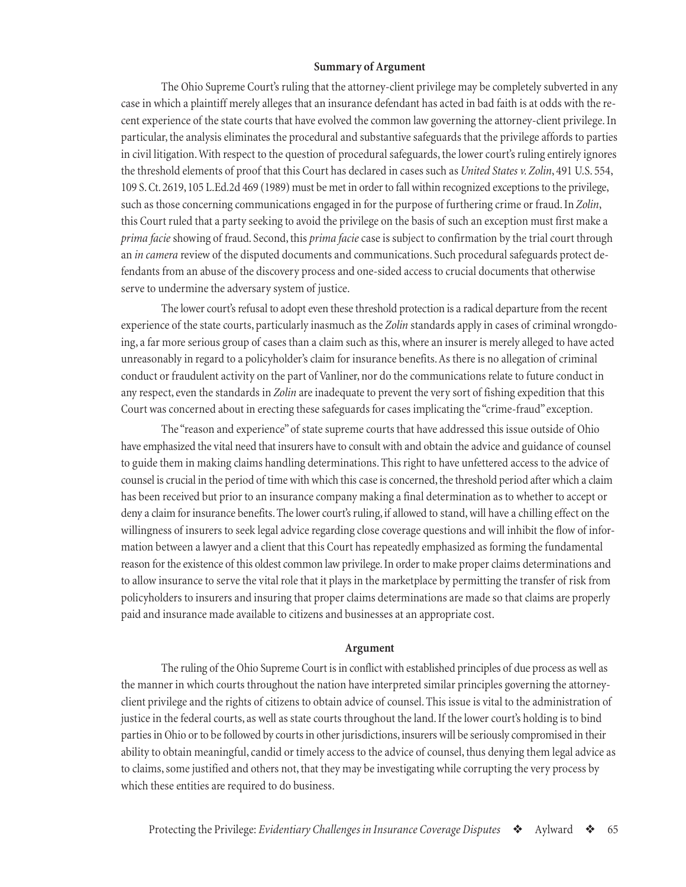#### **Summary of Argument**

The Ohio Supreme Court's ruling that the attorney-client privilege may be completely subverted in any case in which a plaintiff merely alleges that an insurance defendant has acted in bad faith is at odds with the recent experience of the state courts that have evolved the common law governing the attorney-client privilege. In particular, the analysis eliminates the procedural and substantive safeguards that the privilege affords to parties in civil litigation. With respect to the question of procedural safeguards, the lower court's ruling entirely ignores the threshold elements of proof that this Court has declared in cases such as *United States v. Zolin*, 491 U.S. 554, 109 S. Ct. 2619, 105 L.Ed.2d 469 (1989) must be met in order to fall within recognized exceptions to the privilege, such as those concerning communications engaged in for the purpose of furthering crime or fraud. In *Zolin*, this Court ruled that a party seeking to avoid the privilege on the basis of such an exception must first make a *prima facie* showing of fraud. Second, this *prima facie* case is subject to confirmation by the trial court through an *in camera* review of the disputed documents and communications. Such procedural safeguards protect defendants from an abuse of the discovery process and one-sided access to crucial documents that otherwise serve to undermine the adversary system of justice.

The lower court's refusal to adopt even these threshold protection is a radical departure from the recent experience of the state courts, particularly inasmuch as the *Zolin* standards apply in cases of criminal wrongdoing, a far more serious group of cases than a claim such as this, where an insurer is merely alleged to have acted unreasonably in regard to a policyholder's claim for insurance benefits. As there is no allegation of criminal conduct or fraudulent activity on the part of Vanliner, nor do the communications relate to future conduct in any respect, even the standards in *Zolin* are inadequate to prevent the very sort of fishing expedition that this Court was concerned about in erecting these safeguards for cases implicating the "crime-fraud" exception.

The "reason and experience" of state supreme courts that have addressed this issue outside of Ohio have emphasized the vital need that insurers have to consult with and obtain the advice and guidance of counsel to guide them in making claims handling determinations. This right to have unfettered access to the advice of counsel is crucial in the period of time with which this case is concerned, the threshold period after which a claim has been received but prior to an insurance company making a final determination as to whether to accept or deny a claim for insurance benefits. The lower court's ruling, if allowed to stand, will have a chilling effect on the willingness of insurers to seek legal advice regarding close coverage questions and will inhibit the flow of information between a lawyer and a client that this Court has repeatedly emphasized as forming the fundamental reason for the existence of this oldest common law privilege. In order to make proper claims determinations and to allow insurance to serve the vital role that it plays in the marketplace by permitting the transfer of risk from policyholders to insurers and insuring that proper claims determinations are made so that claims are properly paid and insurance made available to citizens and businesses at an appropriate cost.

#### **Argument**

The ruling of the Ohio Supreme Court is in conflict with established principles of due process as well as the manner in which courts throughout the nation have interpreted similar principles governing the attorneyclient privilege and the rights of citizens to obtain advice of counsel. This issue is vital to the administration of justice in the federal courts, as well as state courts throughout the land. If the lower court's holding is to bind parties in Ohio or to be followed by courts in other jurisdictions, insurers will be seriously compromised in their ability to obtain meaningful, candid or timely access to the advice of counsel, thus denying them legal advice as to claims, some justified and others not, that they may be investigating while corrupting the very process by which these entities are required to do business.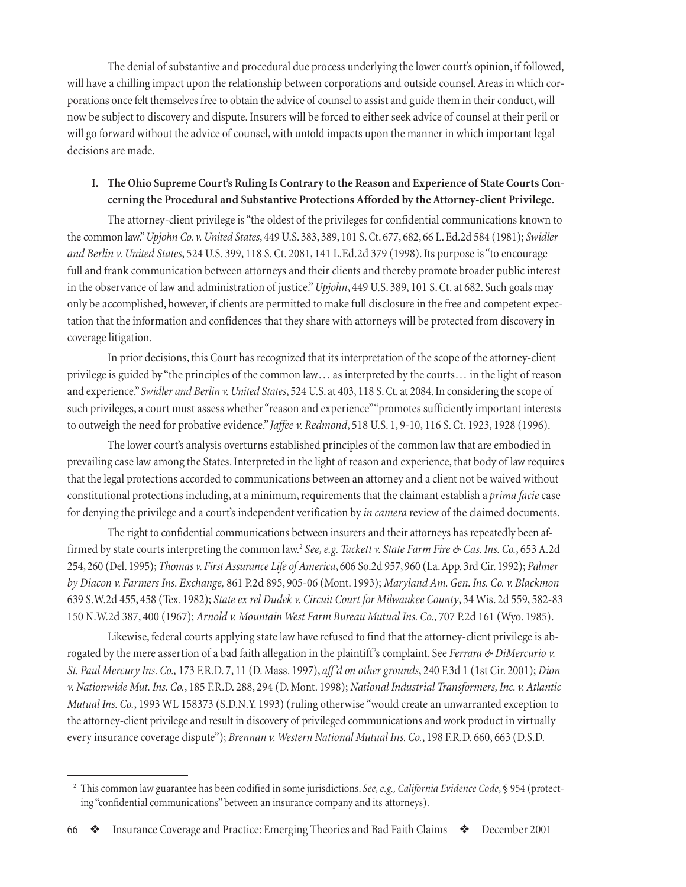The denial of substantive and procedural due process underlying the lower court's opinion, if followed, will have a chilling impact upon the relationship between corporations and outside counsel. Areas in which corporations once felt themselves free to obtain the advice of counsel to assist and guide them in their conduct, will now be subject to discovery and dispute. Insurers will be forced to either seek advice of counsel at their peril or will go forward without the advice of counsel, with untold impacts upon the manner in which important legal decisions are made.

# **I. The Ohio Supreme Court's Ruling Is Contrary to the Reason and Experience of State Courts Concerning the Procedural and Substantive Protections Afforded by the Attorney-client Privilege.**

The attorney-client privilege is "the oldest of the privileges for confidential communications known to the common law." *Upjohn Co. v. United States*, 449 U.S. 383, 389, 101 S. Ct. 677, 682, 66 L. Ed.2d 584 (1981); *Swidler and Berlin v. United States*, 524 U.S. 399, 118 S. Ct. 2081, 141 L.Ed.2d 379 (1998). Its purpose is "to encourage full and frank communication between attorneys and their clients and thereby promote broader public interest in the observance of law and administration of justice." *Upjohn*, 449 U.S. 389, 101 S. Ct. at 682. Such goals may only be accomplished, however, if clients are permitted to make full disclosure in the free and competent expectation that the information and confidences that they share with attorneys will be protected from discovery in coverage litigation.

In prior decisions, this Court has recognized that its interpretation of the scope of the attorney-client privilege is guided by "the principles of the common law… as interpreted by the courts… in the light of reason and experience." *Swidler and Berlin v. United States*, 524 U.S. at 403, 118 S. Ct. at 2084. In considering the scope of such privileges, a court must assess whether "reason and experience" "promotes sufficiently important interests to outweigh the need for probative evidence." *Jaffee v. Redmond*, 518 U.S. 1, 9-10, 116 S. Ct. 1923, 1928 (1996).

The lower court's analysis overturns established principles of the common law that are embodied in prevailing case law among the States. Interpreted in the light of reason and experience, that body of law requires that the legal protections accorded to communications between an attorney and a client not be waived without constitutional protections including, at a minimum, requirements that the claimant establish a *prima facie* case for denying the privilege and a court's independent verification by *in camera* review of the claimed documents.

The right to confidential communications between insurers and their attorneys has repeatedly been affirmed by state courts interpreting the common law.2 *See, e.g. Tackett v. State Farm Fire & Cas. Ins. Co.*, 653 A.2d 254, 260 (Del. 1995); *Thomas v. First Assurance Life of America*, 606 So.2d 957, 960 (La. App. 3rd Cir. 1992); *Palmer by Diacon v. Farmers Ins. Exchange,* 861 P.2d 895, 905-06 (Mont. 1993); *Maryland Am. Gen. Ins. Co. v. Blackmon* 639 S.W.2d 455, 458 (Tex. 1982); *State ex rel Dudek v. Circuit Court for Milwaukee County*, 34 Wis. 2d 559, 582-83 150 N.W.2d 387, 400 (1967); *Arnold v. Mountain West Farm Bureau Mutual Ins. Co.*, 707 P.2d 161 (Wyo. 1985).

Likewise, federal courts applying state law have refused to find that the attorney-client privilege is abrogated by the mere assertion of a bad faith allegation in the plaintiff 's complaint. See *Ferrara & DiMercurio v. St. Paul Mercury Ins. Co.,* 173 F.R.D. 7, 11 (D. Mass. 1997), *aff 'd on other grounds*, 240 F.3d 1 (1st Cir. 2001); *Dion v. Nationwide Mut. Ins. Co.*, 185 F.R.D. 288, 294 (D. Mont. 1998); *National Industrial Transformers, Inc. v. Atlantic Mutual Ins. Co.*, 1993 WL 158373 (S.D.N.Y. 1993) (ruling otherwise "would create an unwarranted exception to the attorney-client privilege and result in discovery of privileged communications and work product in virtually every insurance coverage dispute"); *Brennan v. Western National Mutual Ins. Co.*, 198 F.R.D. 660, 663 (D.S.D.

<sup>2</sup> This common law guarantee has been codified in some jurisdictions. *See, e.g., California Evidence Code*, § 954 (protecting "confidential communications" between an insurance company and its attorneys).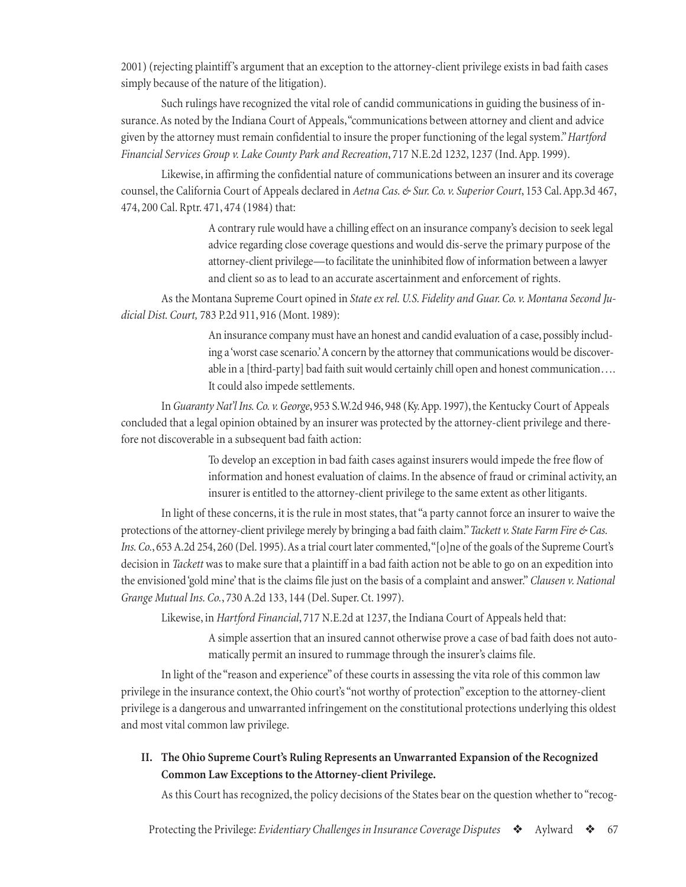2001) (rejecting plaintiff 's argument that an exception to the attorney-client privilege exists in bad faith cases simply because of the nature of the litigation).

Such rulings have recognized the vital role of candid communications in guiding the business of insurance. As noted by the Indiana Court of Appeals, "communications between attorney and client and advice given by the attorney must remain confidential to insure the proper functioning of the legal system." *Hartford Financial Services Group v. Lake County Park and Recreation*, 717 N.E.2d 1232, 1237 (Ind. App. 1999).

Likewise, in affirming the confidential nature of communications between an insurer and its coverage counsel, the California Court of Appeals declared in *Aetna Cas. & Sur. Co. v. Superior Court*, 153 Cal. App.3d 467, 474, 200 Cal. Rptr. 471, 474 (1984) that:

> A contrary rule would have a chilling effect on an insurance company's decision to seek legal advice regarding close coverage questions and would dis-serve the primary purpose of the attorney-client privilege—to facilitate the uninhibited flow of information between a lawyer and client so as to lead to an accurate ascertainment and enforcement of rights.

As the Montana Supreme Court opined in *State ex rel. U.S. Fidelity and Guar. Co. v. Montana Second Judicial Dist. Court,* 783 P.2d 911, 916 (Mont. 1989):

> An insurance company must have an honest and candid evaluation of a case, possibly including a 'worst case scenario.' A concern by the attorney that communications would be discoverable in a [third-party] bad faith suit would certainly chill open and honest communication…. It could also impede settlements.

In *Guaranty Nat'l Ins. Co. v. George*, 953 S.W.2d 946, 948 (Ky. App. 1997), the Kentucky Court of Appeals concluded that a legal opinion obtained by an insurer was protected by the attorney-client privilege and therefore not discoverable in a subsequent bad faith action:

> To develop an exception in bad faith cases against insurers would impede the free flow of information and honest evaluation of claims. In the absence of fraud or criminal activity, an insurer is entitled to the attorney-client privilege to the same extent as other litigants.

In light of these concerns, it is the rule in most states, that "a party cannot force an insurer to waive the protections of the attorney-client privilege merely by bringing a bad faith claim." *Tackett v. State Farm Fire & Cas. Ins. Co.*, 653 A.2d 254, 260 (Del. 1995). As a trial court later commented, "[o]ne of the goals of the Supreme Court's decision in *Tackett* was to make sure that a plaintiff in a bad faith action not be able to go on an expedition into the envisioned 'gold mine' that is the claims file just on the basis of a complaint and answer." *Clausen v. National Grange Mutual Ins. Co.*, 730 A.2d 133, 144 (Del. Super. Ct. 1997).

Likewise, in *Hartford Financial*, 717 N.E.2d at 1237, the Indiana Court of Appeals held that:

A simple assertion that an insured cannot otherwise prove a case of bad faith does not automatically permit an insured to rummage through the insurer's claims file.

In light of the "reason and experience" of these courts in assessing the vita role of this common law privilege in the insurance context, the Ohio court's "not worthy of protection" exception to the attorney-client privilege is a dangerous and unwarranted infringement on the constitutional protections underlying this oldest and most vital common law privilege.

**II. The Ohio Supreme Court's Ruling Represents an Unwarranted Expansion of the Recognized Common Law Exceptions to the Attorney-client Privilege.**

As this Court has recognized, the policy decisions of the States bear on the question whether to "recog-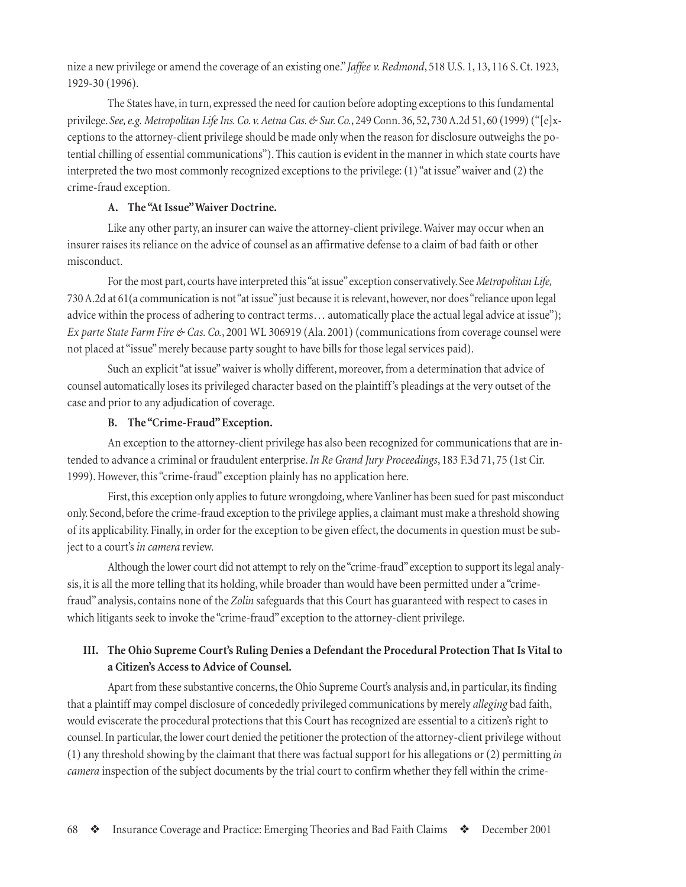nize a new privilege or amend the coverage of an existing one." *Jaffee v. Redmond*, 518 U.S. 1, 13, 116 S. Ct. 1923, 1929-30 (1996).

The States have, in turn, expressed the need for caution before adopting exceptions to this fundamental privilege. *See, e.g. Metropolitan Life Ins. Co. v. Aetna Cas. & Sur. Co.*, 249 Conn. 36, 52, 730 A.2d 51, 60 (1999) ("[e]xceptions to the attorney-client privilege should be made only when the reason for disclosure outweighs the potential chilling of essential communications"). This caution is evident in the manner in which state courts have interpreted the two most commonly recognized exceptions to the privilege: (1) "at issue" waiver and (2) the crime-fraud exception.

### **A. The "At Issue" Waiver Doctrine.**

Like any other party, an insurer can waive the attorney-client privilege. Waiver may occur when an insurer raises its reliance on the advice of counsel as an affirmative defense to a claim of bad faith or other misconduct.

For the most part, courts have interpreted this "at issue" exception conservatively. See *Metropolitan Life,* 730 A.2d at 61(a communication is not "at issue" just because it is relevant, however, nor does "reliance upon legal advice within the process of adhering to contract terms… automatically place the actual legal advice at issue"); *Ex parte State Farm Fire & Cas. Co.*, 2001 WL 306919 (Ala. 2001) (communications from coverage counsel were not placed at "issue" merely because party sought to have bills for those legal services paid).

Such an explicit "at issue" waiver is wholly different, moreover, from a determination that advice of counsel automatically loses its privileged character based on the plaintiff 's pleadings at the very outset of the case and prior to any adjudication of coverage.

### **B. The "Crime-Fraud" Exception.**

An exception to the attorney-client privilege has also been recognized for communications that are intended to advance a criminal or fraudulent enterprise. *In Re Grand Jury Proceedings*, 183 F.3d 71, 75 (1st Cir. 1999). However, this "crime-fraud" exception plainly has no application here.

First, this exception only applies to future wrongdoing, where Vanliner has been sued for past misconduct only. Second, before the crime-fraud exception to the privilege applies, a claimant must make a threshold showing of its applicability. Finally, in order for the exception to be given effect, the documents in question must be subject to a court's *in camera* review.

Although the lower court did not attempt to rely on the "crime-fraud" exception to support its legal analysis, it is all the more telling that its holding, while broader than would have been permitted under a "crimefraud" analysis, contains none of the *Zolin* safeguards that this Court has guaranteed with respect to cases in which litigants seek to invoke the "crime-fraud" exception to the attorney-client privilege.

# **III. The Ohio Supreme Court's Ruling Denies a Defendant the Procedural Protection That Is Vital to a Citizen's Access to Advice of Counsel.**

Apart from these substantive concerns, the Ohio Supreme Court's analysis and, in particular, its finding that a plaintiff may compel disclosure of concededly privileged communications by merely *alleging* bad faith, would eviscerate the procedural protections that this Court has recognized are essential to a citizen's right to counsel. In particular, the lower court denied the petitioner the protection of the attorney-client privilege without (1) any threshold showing by the claimant that there was factual support for his allegations or (2) permitting *in camera* inspection of the subject documents by the trial court to confirm whether they fell within the crime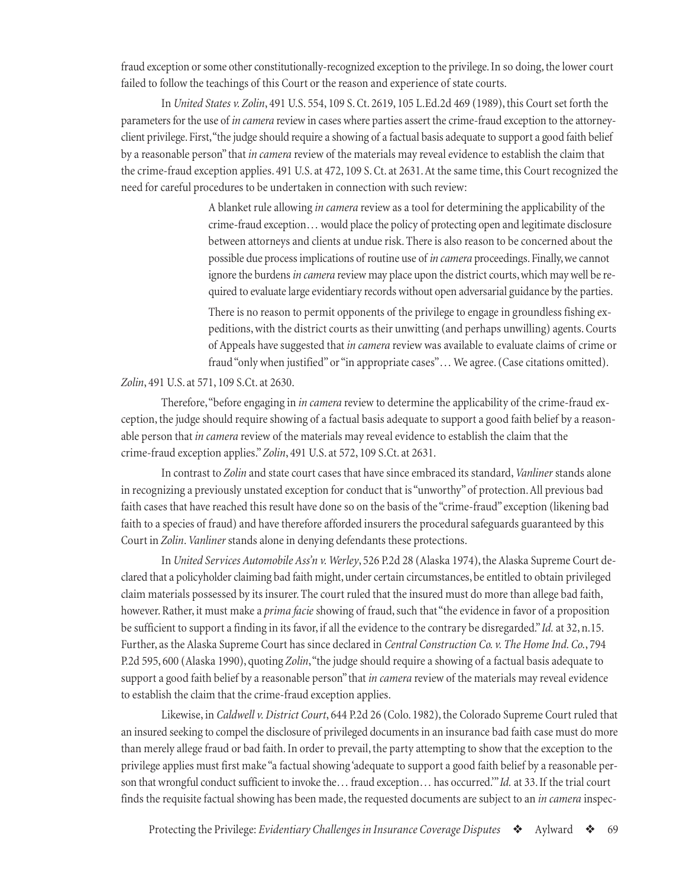fraud exception or some other constitutionally-recognized exception to the privilege. In so doing, the lower court failed to follow the teachings of this Court or the reason and experience of state courts.

In *United States v. Zolin*, 491 U.S. 554, 109 S. Ct. 2619, 105 L.Ed.2d 469 (1989), this Court set forth the parameters for the use of *in camera* review in cases where parties assert the crime-fraud exception to the attorneyclient privilege. First, "the judge should require a showing of a factual basis adequate to support a good faith belief by a reasonable person" that *in camera* review of the materials may reveal evidence to establish the claim that the crime-fraud exception applies. 491 U.S. at 472, 109 S. Ct. at 2631. At the same time, this Court recognized the need for careful procedures to be undertaken in connection with such review:

> A blanket rule allowing *in camera* review as a tool for determining the applicability of the crime-fraud exception… would place the policy of protecting open and legitimate disclosure between attorneys and clients at undue risk. There is also reason to be concerned about the possible due process implications of routine use of *in camera* proceedings. Finally, we cannot ignore the burdens *in camera* review may place upon the district courts, which may well be required to evaluate large evidentiary records without open adversarial guidance by the parties.

> There is no reason to permit opponents of the privilege to engage in groundless fishing expeditions, with the district courts as their unwitting (and perhaps unwilling) agents. Courts of Appeals have suggested that *in camera* review was available to evaluate claims of crime or fraud "only when justified" or "in appropriate cases"... We agree. (Case citations omitted).

#### *Zolin*, 491 U.S. at 571, 109 S.Ct. at 2630.

Therefore, "before engaging in *in camera* review to determine the applicability of the crime-fraud exception, the judge should require showing of a factual basis adequate to support a good faith belief by a reasonable person that *in camera* review of the materials may reveal evidence to establish the claim that the crime-fraud exception applies." *Zolin*, 491 U.S. at 572, 109 S.Ct. at 2631.

In contrast to *Zolin* and state court cases that have since embraced its standard, *Vanliner* stands alone in recognizing a previously unstated exception for conduct that is "unworthy" of protection. All previous bad faith cases that have reached this result have done so on the basis of the "crime-fraud" exception (likening bad faith to a species of fraud) and have therefore afforded insurers the procedural safeguards guaranteed by this Court in *Zolin*. *Vanliner* stands alone in denying defendants these protections.

In *United Services Automobile Ass'n v. Werley*, 526 P.2d 28 (Alaska 1974), the Alaska Supreme Court declared that a policyholder claiming bad faith might, under certain circumstances, be entitled to obtain privileged claim materials possessed by its insurer. The court ruled that the insured must do more than allege bad faith, however. Rather, it must make a *prima facie* showing of fraud, such that "the evidence in favor of a proposition be sufficient to support a finding in its favor, if all the evidence to the contrary be disregarded." *Id.* at 32, n.15. Further, as the Alaska Supreme Court has since declared in *Central Construction Co. v. The Home Ind. Co.*, 794 P.2d 595, 600 (Alaska 1990), quoting *Zolin*, "the judge should require a showing of a factual basis adequate to support a good faith belief by a reasonable person" that *in camera* review of the materials may reveal evidence to establish the claim that the crime-fraud exception applies.

Likewise, in *Caldwell v. District Court*, 644 P.2d 26 (Colo. 1982), the Colorado Supreme Court ruled that an insured seeking to compel the disclosure of privileged documents in an insurance bad faith case must do more than merely allege fraud or bad faith. In order to prevail, the party attempting to show that the exception to the privilege applies must first make "a factual showing 'adequate to support a good faith belief by a reasonable person that wrongful conduct sufficient to invoke the… fraud exception… has occurred.'" *Id.* at 33. If the trial court finds the requisite factual showing has been made, the requested documents are subject to an *in camera* inspec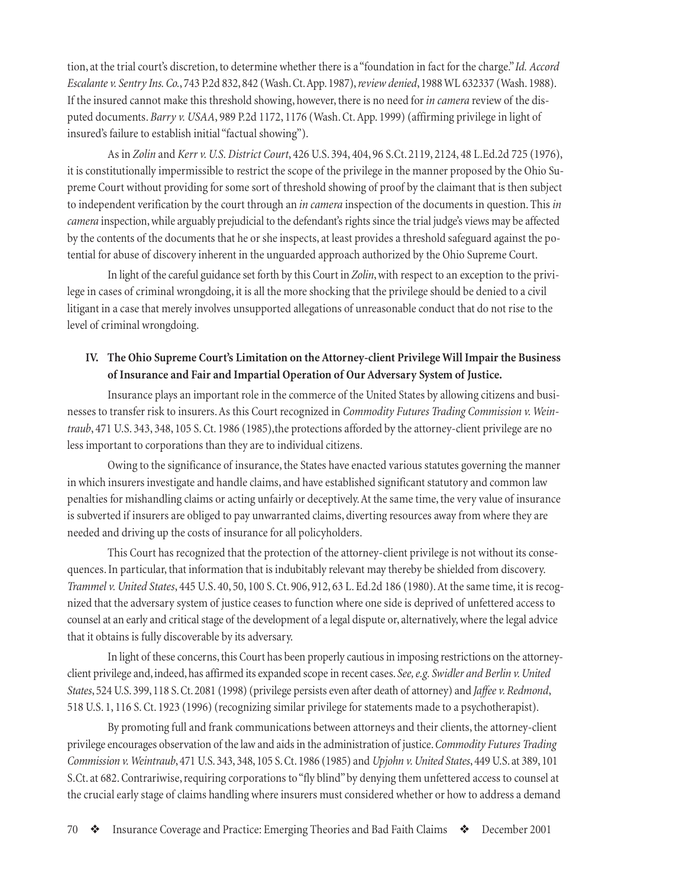tion, at the trial court's discretion, to determine whether there is a "foundation in fact for the charge." *Id. Accord Escalante v. Sentry Ins. Co.*, 743 P.2d 832, 842 (Wash. Ct. App. 1987), *review denied*, 1988 WL 632337 (Wash. 1988). If the insured cannot make this threshold showing, however, there is no need for *in camera* review of the disputed documents. *Barry v. USAA*, 989 P.2d 1172, 1176 (Wash. Ct. App. 1999) (affirming privilege in light of insured's failure to establish initial "factual showing").

As in *Zolin* and *Kerr v. U.S. District Court*, 426 U.S. 394, 404, 96 S.Ct. 2119, 2124, 48 L.Ed.2d 725 (1976), it is constitutionally impermissible to restrict the scope of the privilege in the manner proposed by the Ohio Supreme Court without providing for some sort of threshold showing of proof by the claimant that is then subject to independent verification by the court through an *in camera* inspection of the documents in question. This *in camera* inspection, while arguably prejudicial to the defendant's rights since the trial judge's views may be affected by the contents of the documents that he or she inspects, at least provides a threshold safeguard against the potential for abuse of discovery inherent in the unguarded approach authorized by the Ohio Supreme Court.

In light of the careful guidance set forth by this Court in *Zolin*, with respect to an exception to the privilege in cases of criminal wrongdoing, it is all the more shocking that the privilege should be denied to a civil litigant in a case that merely involves unsupported allegations of unreasonable conduct that do not rise to the level of criminal wrongdoing.

## **IV. The Ohio Supreme Court's Limitation on the Attorney-client Privilege Will Impair the Business of Insurance and Fair and Impartial Operation of Our Adversary System of Justice.**

Insurance plays an important role in the commerce of the United States by allowing citizens and businesses to transfer risk to insurers. As this Court recognized in *Commodity Futures Trading Commission v. Weintraub*, 471 U.S. 343, 348, 105 S. Ct. 1986 (1985),the protections afforded by the attorney-client privilege are no less important to corporations than they are to individual citizens.

Owing to the significance of insurance, the States have enacted various statutes governing the manner in which insurers investigate and handle claims, and have established significant statutory and common law penalties for mishandling claims or acting unfairly or deceptively. At the same time, the very value of insurance is subverted if insurers are obliged to pay unwarranted claims, diverting resources away from where they are needed and driving up the costs of insurance for all policyholders.

This Court has recognized that the protection of the attorney-client privilege is not without its consequences. In particular, that information that is indubitably relevant may thereby be shielded from discovery. *Trammel v. United States*, 445 U.S. 40, 50, 100 S. Ct. 906, 912, 63 L. Ed.2d 186 (1980). At the same time, it is recognized that the adversary system of justice ceases to function where one side is deprived of unfettered access to counsel at an early and critical stage of the development of a legal dispute or, alternatively, where the legal advice that it obtains is fully discoverable by its adversary.

In light of these concerns, this Court has been properly cautious in imposing restrictions on the attorneyclient privilege and, indeed, has affirmed its expanded scope in recent cases. *See, e.g. Swidler and Berlin v. United States*, 524 U.S. 399, 118 S. Ct. 2081 (1998) (privilege persists even after death of attorney) and *Jaffee v. Redmond*, 518 U.S. 1, 116 S. Ct. 1923 (1996) (recognizing similar privilege for statements made to a psychotherapist).

By promoting full and frank communications between attorneys and their clients, the attorney-client privilege encourages observation of the law and aids in the administration of justice. *Commodity Futures Trading Commission v. Weintraub*, 471 U.S. 343, 348, 105 S. Ct. 1986 (1985) and *Upjohn v. United States*, 449 U.S. at 389, 101 S.Ct. at 682. Contrariwise, requiring corporations to "fly blind" by denying them unfettered access to counsel at the crucial early stage of claims handling where insurers must considered whether or how to address a demand